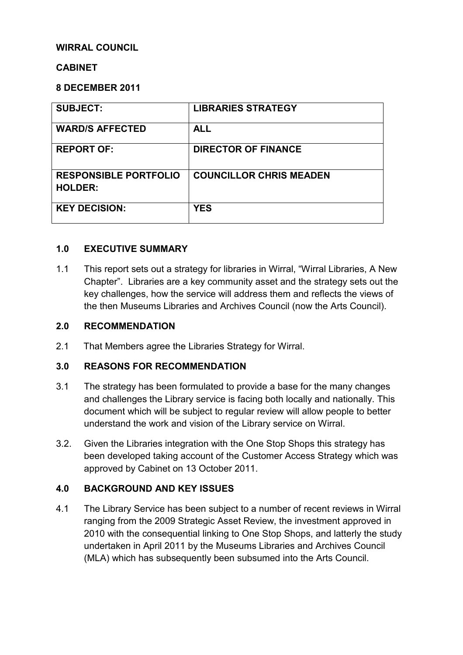### **WIRRAL COUNCIL**

#### **CABINET**

#### **8 DECEMBER 2011**

| <b>SUBJECT:</b>                                | <b>LIBRARIES STRATEGY</b>      |
|------------------------------------------------|--------------------------------|
| <b>WARD/S AFFECTED</b>                         | <b>ALL</b>                     |
| <b>REPORT OF:</b>                              | <b>DIRECTOR OF FINANCE</b>     |
| <b>RESPONSIBLE PORTFOLIO</b><br><b>HOLDER:</b> | <b>COUNCILLOR CHRIS MEADEN</b> |
| <b>KEY DECISION:</b>                           | <b>YES</b>                     |

#### **1.0 EXECUTIVE SUMMARY**

1.1 This report sets out a strategy for libraries in Wirral, "Wirral Libraries, A New Chapter". Libraries are a key community asset and the strategy sets out the key challenges, how the service will address them and reflects the views of the then Museums Libraries and Archives Council (now the Arts Council).

#### **2.0 RECOMMENDATION**

2.1 That Members agree the Libraries Strategy for Wirral.

#### **3.0 REASONS FOR RECOMMENDATION**

- 3.1 The strategy has been formulated to provide a base for the many changes and challenges the Library service is facing both locally and nationally. This document which will be subject to regular review will allow people to better understand the work and vision of the Library service on Wirral.
- 3.2. Given the Libraries integration with the One Stop Shops this strategy has been developed taking account of the Customer Access Strategy which was approved by Cabinet on 13 October 2011.

### **4.0 BACKGROUND AND KEY ISSUES**

4.1 The Library Service has been subject to a number of recent reviews in Wirral ranging from the 2009 Strategic Asset Review, the investment approved in 2010 with the consequential linking to One Stop Shops, and latterly the study undertaken in April 2011 by the Museums Libraries and Archives Council (MLA) which has subsequently been subsumed into the Arts Council.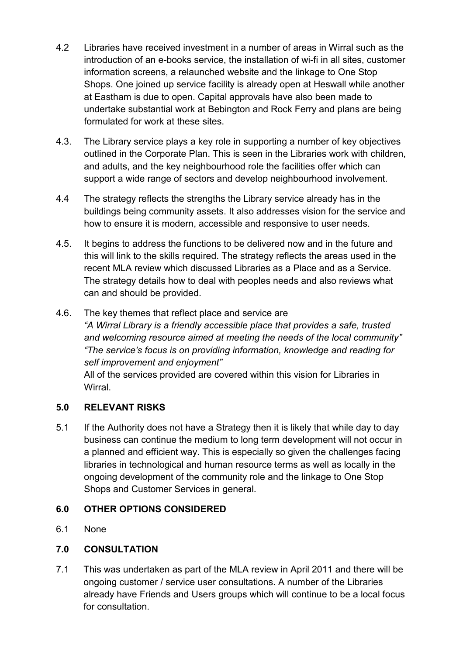- 4.2 Libraries have received investment in a number of areas in Wirral such as the introduction of an e-books service, the installation of wi-fi in all sites, customer information screens, a relaunched website and the linkage to One Stop Shops. One joined up service facility is already open at Heswall while another at Eastham is due to open. Capital approvals have also been made to undertake substantial work at Bebington and Rock Ferry and plans are being formulated for work at these sites.
- 4.3. The Library service plays a key role in supporting a number of key objectives outlined in the Corporate Plan. This is seen in the Libraries work with children, and adults, and the key neighbourhood role the facilities offer which can support a wide range of sectors and develop neighbourhood involvement.
- 4.4 The strategy reflects the strengths the Library service already has in the buildings being community assets. It also addresses vision for the service and how to ensure it is modern, accessible and responsive to user needs.
- 4.5. It begins to address the functions to be delivered now and in the future and this will link to the skills required. The strategy reflects the areas used in the recent MLA review which discussed Libraries as a Place and as a Service. The strategy details how to deal with peoples needs and also reviews what can and should be provided.
- 4.6. The key themes that reflect place and service are *"A Wirral Library is a friendly accessible place that provides a safe, trusted and welcoming resource aimed at meeting the needs of the local community" "The service's focus is on providing information, knowledge and reading for self improvement and enjoyment"*

All of the services provided are covered within this vision for Libraries in **Wirral** 

# **5.0 RELEVANT RISKS**

5.1 If the Authority does not have a Strategy then it is likely that while day to day business can continue the medium to long term development will not occur in a planned and efficient way. This is especially so given the challenges facing libraries in technological and human resource terms as well as locally in the ongoing development of the community role and the linkage to One Stop Shops and Customer Services in general.

### **6.0 OTHER OPTIONS CONSIDERED**

6.1 None

### **7.0 CONSULTATION**

7.1 This was undertaken as part of the MLA review in April 2011 and there will be ongoing customer / service user consultations. A number of the Libraries already have Friends and Users groups which will continue to be a local focus for consultation.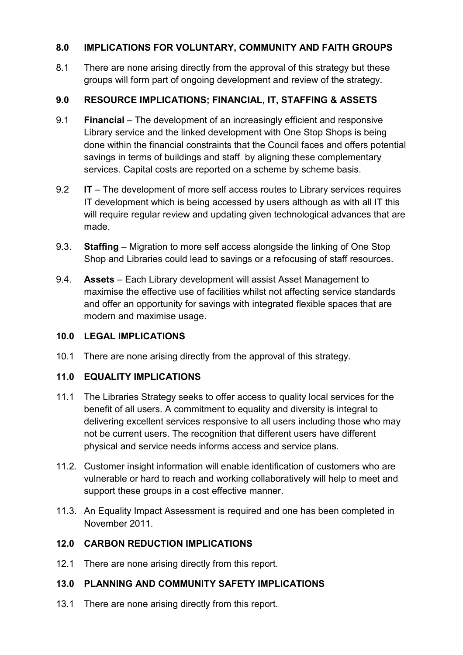# **8.0 IMPLICATIONS FOR VOLUNTARY, COMMUNITY AND FAITH GROUPS**

8.1 There are none arising directly from the approval of this strategy but these groups will form part of ongoing development and review of the strategy.

# **9.0 RESOURCE IMPLICATIONS; FINANCIAL, IT, STAFFING & ASSETS**

- 9.1 **Financial** The development of an increasingly efficient and responsive Library service and the linked development with One Stop Shops is being done within the financial constraints that the Council faces and offers potential savings in terms of buildings and staff by aligning these complementary services. Capital costs are reported on a scheme by scheme basis.
- 9.2 **IT**  The development of more self access routes to Library services requires IT development which is being accessed by users although as with all IT this will require regular review and updating given technological advances that are made.
- 9.3. **Staffing** Migration to more self access alongside the linking of One Stop Shop and Libraries could lead to savings or a refocusing of staff resources.
- 9.4. **Assets** Each Library development will assist Asset Management to maximise the effective use of facilities whilst not affecting service standards and offer an opportunity for savings with integrated flexible spaces that are modern and maximise usage.

### **10.0 LEGAL IMPLICATIONS**

10.1 There are none arising directly from the approval of this strategy.

### **11.0 EQUALITY IMPLICATIONS**

- 11.1 The Libraries Strategy seeks to offer access to quality local services for the benefit of all users. A commitment to equality and diversity is integral to delivering excellent services responsive to all users including those who may not be current users. The recognition that different users have different physical and service needs informs access and service plans.
- 11.2. Customer insight information will enable identification of customers who are vulnerable or hard to reach and working collaboratively will help to meet and support these groups in a cost effective manner.
- 11.3. An Equality Impact Assessment is required and one has been completed in November 2011.

### **12.0 CARBON REDUCTION IMPLICATIONS**

12.1 There are none arising directly from this report.

### **13.0 PLANNING AND COMMUNITY SAFETY IMPLICATIONS**

13.1 There are none arising directly from this report.